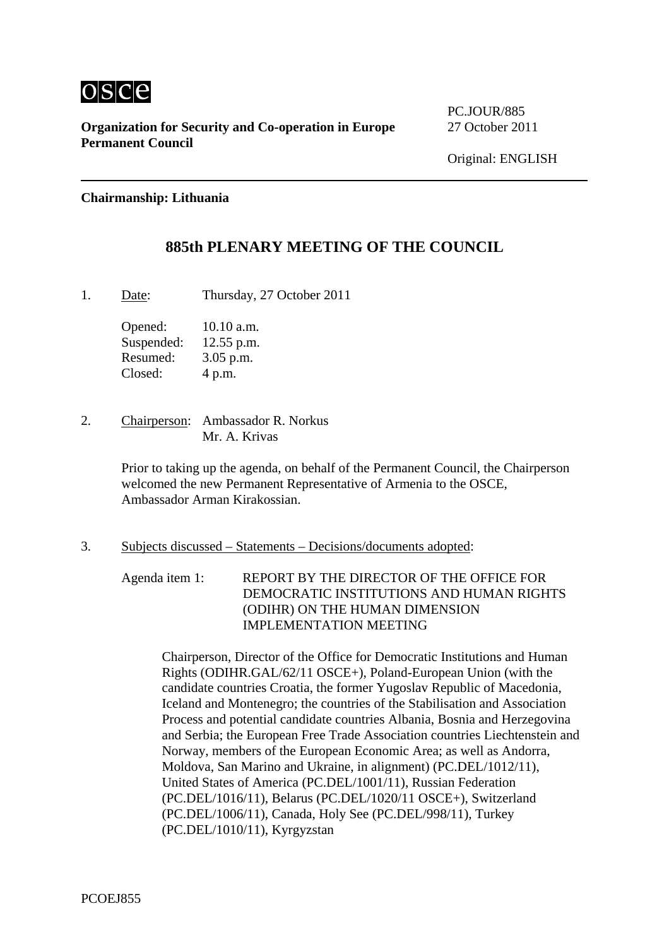

**Organization for Security and Co-operation in Europe** 27 October 2011 **Permanent Council** 

PC.JOUR/885

#### **Chairmanship: Lithuania**

# **885th PLENARY MEETING OF THE COUNCIL**

1. Date: Thursday, 27 October 2011

Opened: 10.10 a.m. Suspended: 12.55 p.m. Resumed: 3.05 p.m. Closed: 4 p.m.

2. Chairperson: Ambassador R. Norkus Mr. A. Krivas

> Prior to taking up the agenda, on behalf of the Permanent Council, the Chairperson welcomed the new Permanent Representative of Armenia to the OSCE, Ambassador Arman Kirakossian.

3. Subjects discussed – Statements – Decisions/documents adopted:

Agenda item 1: REPORT BY THE DIRECTOR OF THE OFFICE FOR DEMOCRATIC INSTITUTIONS AND HUMAN RIGHTS (ODIHR) ON THE HUMAN DIMENSION IMPLEMENTATION MEETING

Chairperson, Director of the Office for Democratic Institutions and Human Rights (ODIHR.GAL/62/11 OSCE+), Poland-European Union (with the candidate countries Croatia, the former Yugoslav Republic of Macedonia, Iceland and Montenegro; the countries of the Stabilisation and Association Process and potential candidate countries Albania, Bosnia and Herzegovina and Serbia; the European Free Trade Association countries Liechtenstein and Norway, members of the European Economic Area; as well as Andorra, Moldova, San Marino and Ukraine, in alignment) (PC.DEL/1012/11), United States of America (PC.DEL/1001/11), Russian Federation (PC.DEL/1016/11), Belarus (PC.DEL/1020/11 OSCE+), Switzerland (PC.DEL/1006/11), Canada, Holy See (PC.DEL/998/11), Turkey (PC.DEL/1010/11), Kyrgyzstan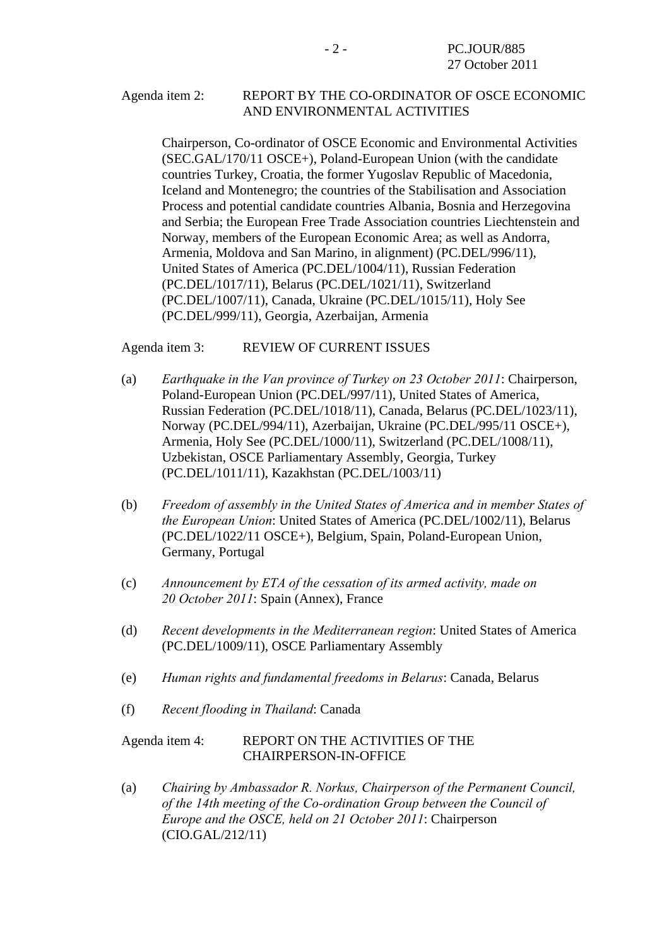### Agenda item 2: REPORT BY THE CO-ORDINATOR OF OSCE ECONOMIC AND ENVIRONMENTAL ACTIVITIES

Chairperson, Co-ordinator of OSCE Economic and Environmental Activities (SEC.GAL/170/11 OSCE+), Poland-European Union (with the candidate countries Turkey, Croatia, the former Yugoslav Republic of Macedonia, Iceland and Montenegro; the countries of the Stabilisation and Association Process and potential candidate countries Albania, Bosnia and Herzegovina and Serbia; the European Free Trade Association countries Liechtenstein and Norway, members of the European Economic Area; as well as Andorra, Armenia, Moldova and San Marino, in alignment) (PC.DEL/996/11), United States of America (PC.DEL/1004/11), Russian Federation (PC.DEL/1017/11), Belarus (PC.DEL/1021/11), Switzerland (PC.DEL/1007/11), Canada, Ukraine (PC.DEL/1015/11), Holy See (PC.DEL/999/11), Georgia, Azerbaijan, Armenia

Agenda item 3: REVIEW OF CURRENT ISSUES

- (a) *Earthquake in the Van province of Turkey on 23 October 2011*: Chairperson, Poland-European Union (PC.DEL/997/11), United States of America, Russian Federation (PC.DEL/1018/11), Canada, Belarus (PC.DEL/1023/11), Norway (PC.DEL/994/11), Azerbaijan, Ukraine (PC.DEL/995/11 OSCE+), Armenia, Holy See (PC.DEL/1000/11), Switzerland (PC.DEL/1008/11), Uzbekistan, OSCE Parliamentary Assembly, Georgia, Turkey (PC.DEL/1011/11), Kazakhstan (PC.DEL/1003/11)
- (b) *Freedom of assembly in the United States of America and in member States of the European Union*: United States of America (PC.DEL/1002/11), Belarus (PC.DEL/1022/11 OSCE+), Belgium, Spain, Poland-European Union, Germany, Portugal
- (c) *Announcement by ETA of the cessation of its armed activity, made on 20 October 2011*: Spain (Annex), France
- (d) *Recent developments in the Mediterranean region*: United States of America (PC.DEL/1009/11), OSCE Parliamentary Assembly
- (e) *Human rights and fundamental freedoms in Belarus*: Canada, Belarus
- (f) *Recent flooding in Thailand*: Canada

### Agenda item 4: REPORT ON THE ACTIVITIES OF THE CHAIRPERSON-IN-OFFICE

(a) *Chairing by Ambassador R. Norkus, Chairperson of the Permanent Council, of the 14th meeting of the Co-ordination Group between the Council of Europe and the OSCE, held on 21 October 2011*: Chairperson (CIO.GAL/212/11)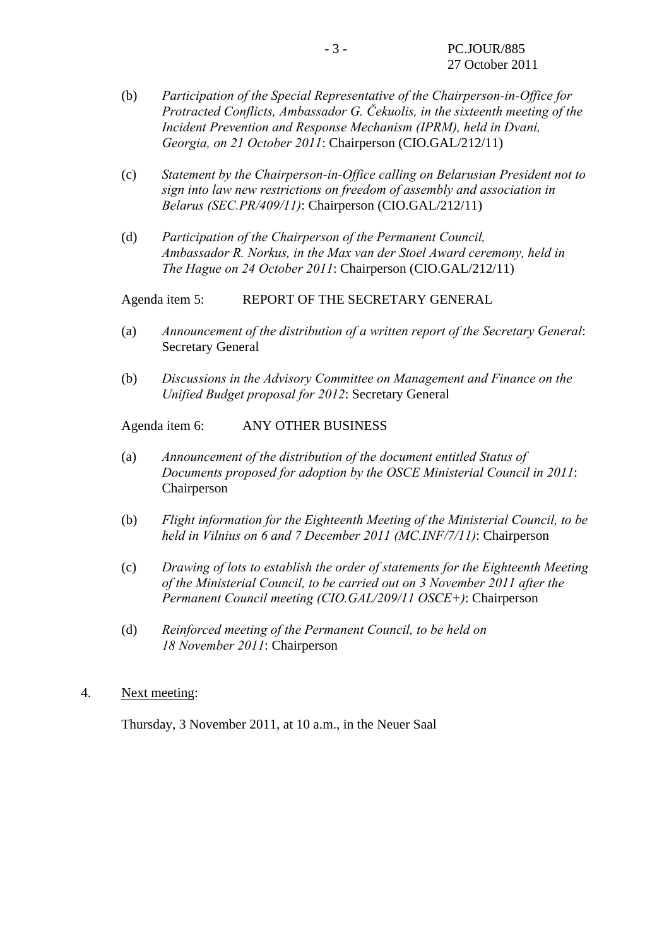- (b) *Participation of the Special Representative of the Chairperson-in-Office for Protracted Conflicts, Ambassador G. Čekuolis, in the sixteenth meeting of the Incident Prevention and Response Mechanism (IPRM), held in Dvani, Georgia, on 21 October 2011*: Chairperson (CIO.GAL/212/11)
- (c) *Statement by the Chairperson-in-Office calling on Belarusian President not to sign into law new restrictions on freedom of assembly and association in Belarus (SEC.PR/409/11)*: Chairperson (CIO.GAL/212/11)
- (d) *Participation of the Chairperson of the Permanent Council, Ambassador R. Norkus, in the Max van der Stoel Award ceremony, held in The Hague on 24 October 2011*: Chairperson (CIO.GAL/212/11)

Agenda item 5: REPORT OF THE SECRETARY GENERAL

- (a) *Announcement of the distribution of a written report of the Secretary General*: Secretary General
- (b) *Discussions in the Advisory Committee on Management and Finance on the Unified Budget proposal for 2012*: Secretary General

Agenda item 6: ANY OTHER BUSINESS

- (a) *Announcement of the distribution of the document entitled Status of Documents proposed for adoption by the OSCE Ministerial Council in 2011*: Chairperson
- (b) *Flight information for the Eighteenth Meeting of the Ministerial Council, to be held in Vilnius on 6 and 7 December 2011 (MC.INF/7/11)*: Chairperson
- (c) *Drawing of lots to establish the order of statements for the Eighteenth Meeting of the Ministerial Council, to be carried out on 3 November 2011 after the Permanent Council meeting (CIO.GAL/209/11 OSCE+)*: Chairperson
- (d) *Reinforced meeting of the Permanent Council, to be held on 18 November 2011*: Chairperson
- 4. Next meeting:

Thursday, 3 November 2011, at 10 a.m., in the Neuer Saal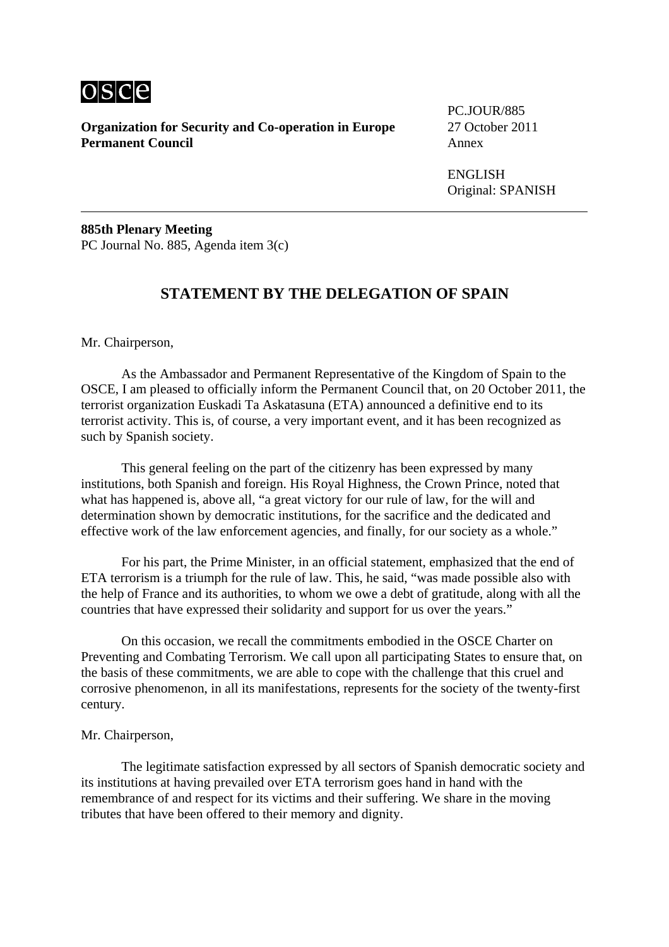

**Organization for Security and Co-operation in Europe** 27 October 2011 **Permanent Council Annex** 

PC.JOUR/885

 ENGLISH Original: SPANISH

**885th Plenary Meeting**  PC Journal No. 885, Agenda item 3(c)

## **STATEMENT BY THE DELEGATION OF SPAIN**

Mr. Chairperson,

 As the Ambassador and Permanent Representative of the Kingdom of Spain to the OSCE, I am pleased to officially inform the Permanent Council that, on 20 October 2011, the terrorist organization Euskadi Ta Askatasuna (ETA) announced a definitive end to its terrorist activity. This is, of course, a very important event, and it has been recognized as such by Spanish society.

 This general feeling on the part of the citizenry has been expressed by many institutions, both Spanish and foreign. His Royal Highness, the Crown Prince, noted that what has happened is, above all, "a great victory for our rule of law, for the will and determination shown by democratic institutions, for the sacrifice and the dedicated and effective work of the law enforcement agencies, and finally, for our society as a whole."

 For his part, the Prime Minister, in an official statement, emphasized that the end of ETA terrorism is a triumph for the rule of law. This, he said, "was made possible also with the help of France and its authorities, to whom we owe a debt of gratitude, along with all the countries that have expressed their solidarity and support for us over the years."

 On this occasion, we recall the commitments embodied in the OSCE Charter on Preventing and Combating Terrorism. We call upon all participating States to ensure that, on the basis of these commitments, we are able to cope with the challenge that this cruel and corrosive phenomenon, in all its manifestations, represents for the society of the twenty-first century.

#### Mr. Chairperson,

 The legitimate satisfaction expressed by all sectors of Spanish democratic society and its institutions at having prevailed over ETA terrorism goes hand in hand with the remembrance of and respect for its victims and their suffering. We share in the moving tributes that have been offered to their memory and dignity.